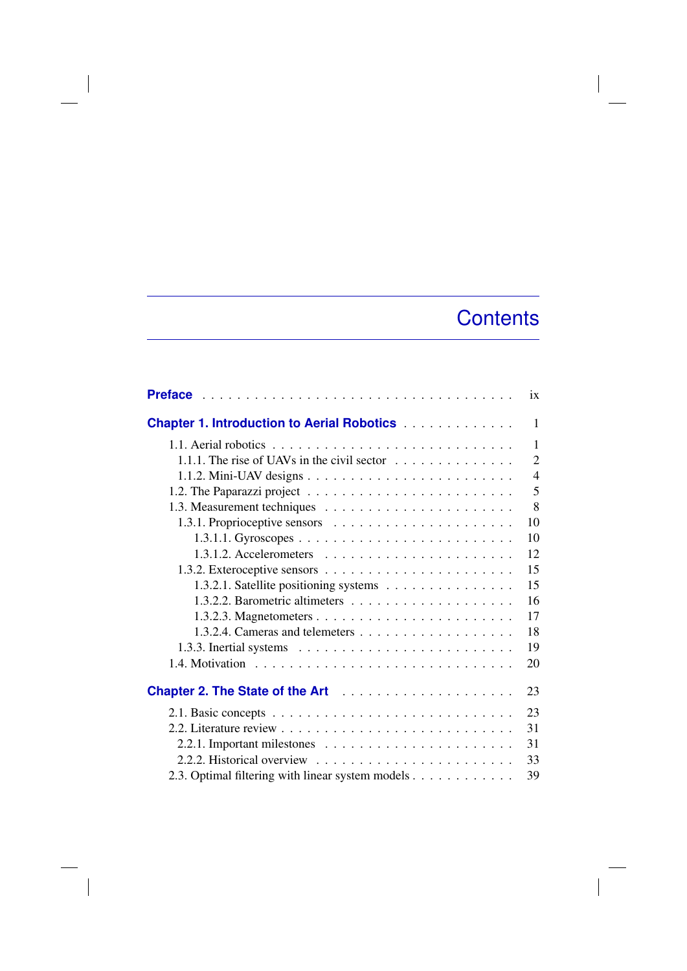## **Contents**

 $\overline{\phantom{a}}$ 

|                                                                                       | ix             |
|---------------------------------------------------------------------------------------|----------------|
| <b>Chapter 1. Introduction to Aerial Robotics</b>                                     | 1              |
|                                                                                       | $\mathbf{1}$   |
| 1.1.1. The rise of UAVs in the civil sector $\dots \dots \dots \dots$                 | 2              |
|                                                                                       | $\overline{4}$ |
|                                                                                       | 5              |
|                                                                                       | 8              |
|                                                                                       | 10             |
|                                                                                       | 10             |
| $1.3.1.2.$ Accelerometers $\ldots \ldots \ldots \ldots \ldots \ldots \ldots$          | 12             |
|                                                                                       | 15             |
| 1.3.2.1. Satellite positioning systems                                                | 15             |
|                                                                                       | 16             |
|                                                                                       | 17             |
|                                                                                       | 18             |
| 1.3.3. Inertial systems $\dots \dots \dots \dots \dots \dots \dots \dots \dots \dots$ | 19             |
|                                                                                       | 20             |
| Chapter 2. The State of the Art                                                       | 23             |
|                                                                                       | 23             |
|                                                                                       | 31             |
|                                                                                       | 31             |
|                                                                                       | 33             |
| 2.3. Optimal filtering with linear system models                                      | 39             |

 $\overline{\phantom{a}}$ 

 $\overline{\phantom{a}}$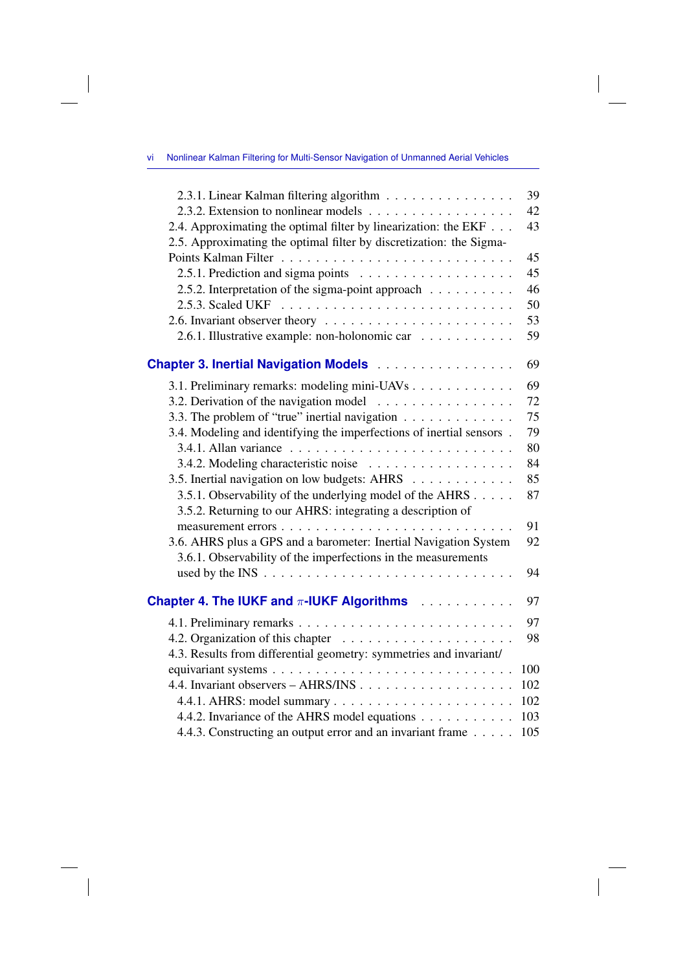$\overline{\phantom{a}}$ 

 $\overline{\phantom{a}}$ 

 $\begin{array}{c} \hline \end{array}$ 

| 2.3.1. Linear Kalman filtering algorithm                                     | 39  |
|------------------------------------------------------------------------------|-----|
|                                                                              | 42  |
| 2.4. Approximating the optimal filter by linearization: the EKF              | 43  |
| 2.5. Approximating the optimal filter by discretization: the Sigma-          |     |
|                                                                              | 45  |
|                                                                              | 45  |
| 2.5.2. Interpretation of the sigma-point approach                            | 46  |
|                                                                              | 50  |
|                                                                              | 53  |
| 2.6.1. Illustrative example: non-holonomic car                               | 59  |
| <b>Chapter 3. Inertial Navigation Models </b>                                | 69  |
| 3.1. Preliminary remarks: modeling mini-UAVs                                 | 69  |
| 3.2. Derivation of the navigation model $\ldots \ldots \ldots \ldots \ldots$ | 72  |
| 3.3. The problem of "true" inertial navigation                               | 75  |
| 3.4. Modeling and identifying the imperfections of inertial sensors.         | 79  |
|                                                                              | 80  |
|                                                                              | 84  |
| 3.5. Inertial navigation on low budgets: AHRS                                | 85  |
| 3.5.1. Observability of the underlying model of the AHRS                     | 87  |
| 3.5.2. Returning to our AHRS: integrating a description of                   |     |
|                                                                              | 91  |
| 3.6. AHRS plus a GPS and a barometer: Inertial Navigation System             | 92  |
| 3.6.1. Observability of the imperfections in the measurements                |     |
|                                                                              | 94  |
| Chapter 4. The IUKF and $\pi$ -IUKF Algorithms $\ldots \ldots \ldots$        | 97  |
|                                                                              | 97  |
|                                                                              | 98  |
| 4.3. Results from differential geometry: symmetries and invariant/           |     |
|                                                                              | 100 |
|                                                                              | 102 |
|                                                                              | 102 |
| 4.4.2. Invariance of the AHRS model equations                                | 103 |
| 4.4.3. Constructing an output error and an invariant frame                   | 105 |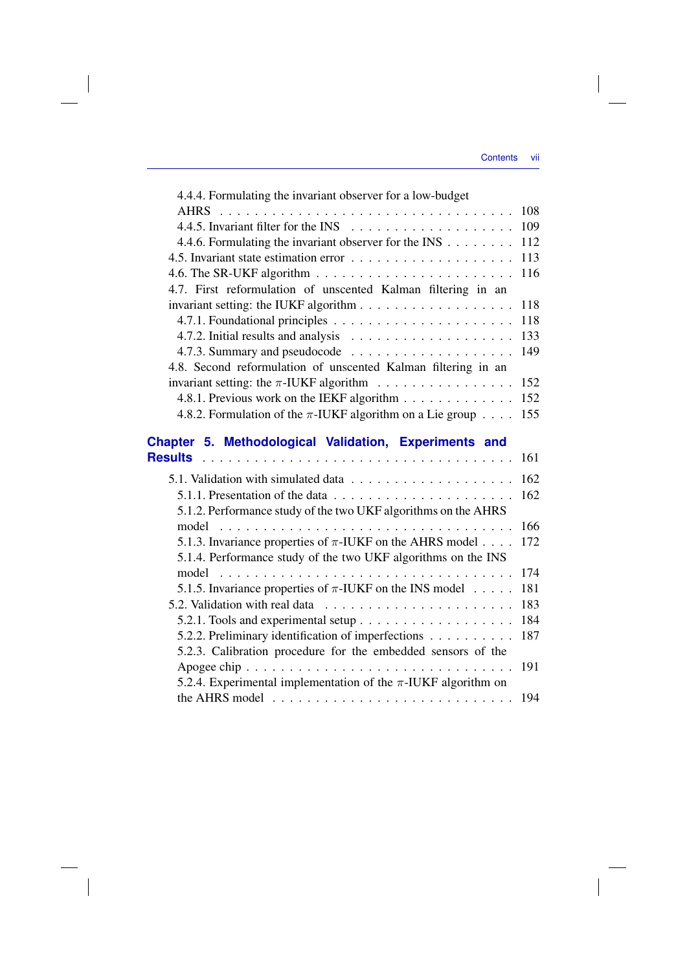$\overline{\phantom{a}}$ 

 $\overline{\phantom{a}}$ 

| 4.4.4. Formulating the invariant observer for a low-budget                                     |  |
|------------------------------------------------------------------------------------------------|--|
|                                                                                                |  |
|                                                                                                |  |
| 4.4.6. Formulating the invariant observer for the INS 112                                      |  |
|                                                                                                |  |
| 4.6. The SR-UKF algorithm $\ldots \ldots \ldots \ldots \ldots \ldots \ldots \ldots \ldots 116$ |  |
| 4.7. First reformulation of unscented Kalman filtering in an                                   |  |
| invariant setting: the IUKF algorithm 118                                                      |  |
|                                                                                                |  |
| 4.7.2. Initial results and analysis $\ldots \ldots \ldots \ldots \ldots \ldots \ldots$ 133     |  |
|                                                                                                |  |
| 4.8. Second reformulation of unscented Kalman filtering in an                                  |  |
| invariant setting: the $\pi$ -IUKF algorithm 152                                               |  |
| 4.8.1. Previous work on the IEKF algorithm 152                                                 |  |
| 4.8.2. Formulation of the $\pi$ -IUKF algorithm on a Lie group 155                             |  |
| Chapter 5. Methodological Validation, Experiments and                                          |  |
|                                                                                                |  |
|                                                                                                |  |
| 5.1.1. Presentation of the data $\ldots \ldots \ldots \ldots \ldots \ldots \ldots \ldots 162$  |  |

 $\overline{\phantom{a}}$ 

 $\mathcal{L}^{\mathcal{L}}$ 

| 5.1. Validation with simulated data $\ldots$ , 162                                             |     |
|------------------------------------------------------------------------------------------------|-----|
| 5.1.1. Presentation of the data $\ldots \ldots \ldots \ldots \ldots \ldots \ldots \ldots 162$  |     |
| 5.1.2. Performance study of the two UKF algorithms on the AHRS                                 |     |
|                                                                                                |     |
| 5.1.3. Invariance properties of $\pi$ -IUKF on the AHRS model 172                              |     |
| 5.1.4. Performance study of the two UKF algorithms on the INS                                  |     |
|                                                                                                |     |
| 5.1.5. Invariance properties of $\pi$ -IUKF on the INS model 181                               |     |
|                                                                                                | 183 |
|                                                                                                |     |
| 5.2.2. Preliminary identification of imperfections 187                                         |     |
| 5.2.3. Calibration procedure for the embedded sensors of the                                   |     |
| Apogee chip $\ldots \ldots \ldots \ldots \ldots \ldots \ldots \ldots \ldots \ldots \ldots$ 191 |     |
| 5.2.4. Experimental implementation of the $\pi$ -IUKF algorithm on                             |     |
| the AHRS model $\ldots \ldots \ldots \ldots \ldots \ldots \ldots \ldots \ldots \ldots 194$     |     |